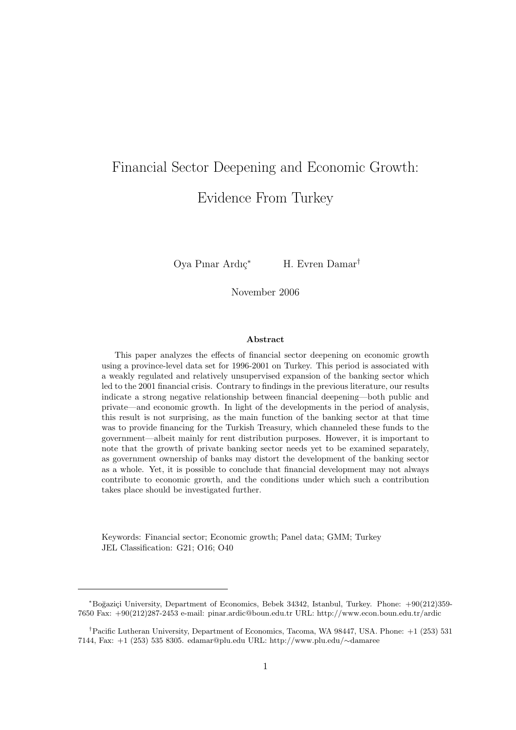# Financial Sector Deepening and Economic Growth: Evidence From Turkey

Oya Pınar Ardıç<sup>∗</sup> H. Evren Damar<sup>†</sup>

November 2006

#### Abstract

This paper analyzes the effects of financial sector deepening on economic growth using a province-level data set for 1996-2001 on Turkey. This period is associated with a weakly regulated and relatively unsupervised expansion of the banking sector which led to the 2001 financial crisis. Contrary to findings in the previous literature, our results indicate a strong negative relationship between financial deepening—both public and private—and economic growth. In light of the developments in the period of analysis, this result is not surprising, as the main function of the banking sector at that time was to provide financing for the Turkish Treasury, which channeled these funds to the government—albeit mainly for rent distribution purposes. However, it is important to note that the growth of private banking sector needs yet to be examined separately, as government ownership of banks may distort the development of the banking sector as a whole. Yet, it is possible to conclude that financial development may not always contribute to economic growth, and the conditions under which such a contribution takes place should be investigated further.

Keywords: Financial sector; Economic growth; Panel data; GMM; Turkey JEL Classification: G21; O16; O40

<sup>∗</sup>Bo˘gazi¸ci University, Department of Economics, Bebek 34342, Istanbul, Turkey. Phone: +90(212)359- 7650 Fax: +90(212)287-2453 e-mail: pinar.ardic@boun.edu.tr URL: http://www.econ.boun.edu.tr/ardic

<sup>†</sup>Pacific Lutheran University, Department of Economics, Tacoma, WA 98447, USA. Phone: +1 (253) 531 7144, Fax: +1 (253) 535 8305. edamar@plu.edu URL: http://www.plu.edu/∼damaree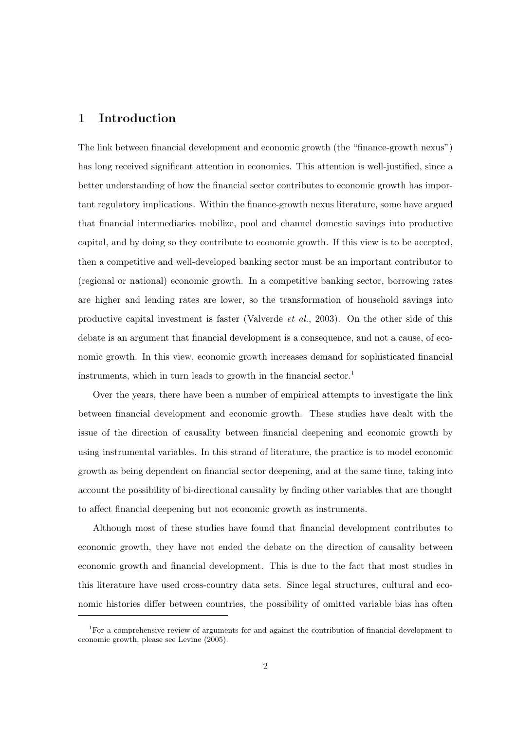## 1 Introduction

The link between financial development and economic growth (the "finance-growth nexus") has long received significant attention in economics. This attention is well-justified, since a better understanding of how the financial sector contributes to economic growth has important regulatory implications. Within the finance-growth nexus literature, some have argued that financial intermediaries mobilize, pool and channel domestic savings into productive capital, and by doing so they contribute to economic growth. If this view is to be accepted, then a competitive and well-developed banking sector must be an important contributor to (regional or national) economic growth. In a competitive banking sector, borrowing rates are higher and lending rates are lower, so the transformation of household savings into productive capital investment is faster (Valverde et al., 2003). On the other side of this debate is an argument that financial development is a consequence, and not a cause, of economic growth. In this view, economic growth increases demand for sophisticated financial instruments, which in turn leads to growth in the financial sector.<sup>1</sup>

Over the years, there have been a number of empirical attempts to investigate the link between financial development and economic growth. These studies have dealt with the issue of the direction of causality between financial deepening and economic growth by using instrumental variables. In this strand of literature, the practice is to model economic growth as being dependent on financial sector deepening, and at the same time, taking into account the possibility of bi-directional causality by finding other variables that are thought to affect financial deepening but not economic growth as instruments.

Although most of these studies have found that financial development contributes to economic growth, they have not ended the debate on the direction of causality between economic growth and financial development. This is due to the fact that most studies in this literature have used cross-country data sets. Since legal structures, cultural and economic histories differ between countries, the possibility of omitted variable bias has often

<sup>&</sup>lt;sup>1</sup>For a comprehensive review of arguments for and against the contribution of financial development to economic growth, please see Levine (2005).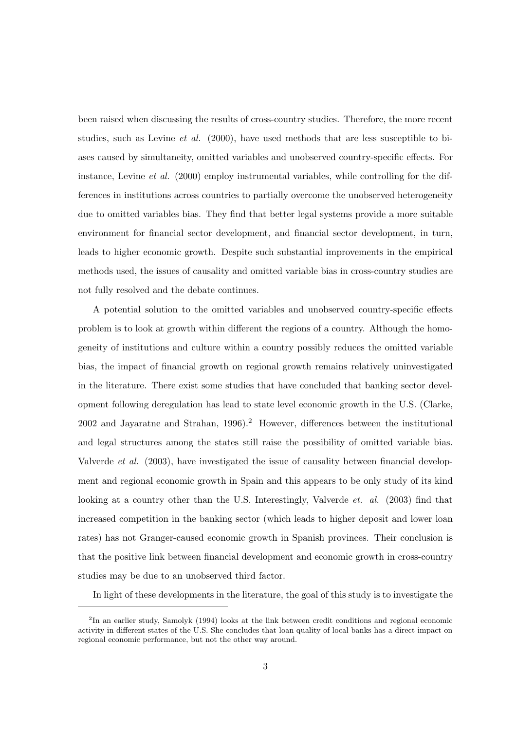been raised when discussing the results of cross-country studies. Therefore, the more recent studies, such as Levine *et al.*  $(2000)$ , have used methods that are less susceptible to biases caused by simultaneity, omitted variables and unobserved country-specific effects. For instance, Levine *et al.* (2000) employ instrumental variables, while controlling for the differences in institutions across countries to partially overcome the unobserved heterogeneity due to omitted variables bias. They find that better legal systems provide a more suitable environment for financial sector development, and financial sector development, in turn, leads to higher economic growth. Despite such substantial improvements in the empirical methods used, the issues of causality and omitted variable bias in cross-country studies are not fully resolved and the debate continues.

A potential solution to the omitted variables and unobserved country-specific effects problem is to look at growth within different the regions of a country. Although the homogeneity of institutions and culture within a country possibly reduces the omitted variable bias, the impact of financial growth on regional growth remains relatively uninvestigated in the literature. There exist some studies that have concluded that banking sector development following deregulation has lead to state level economic growth in the U.S. (Clarke, 2002 and Jayaratne and Strahan, 1996).<sup>2</sup> However, differences between the institutional and legal structures among the states still raise the possibility of omitted variable bias. Valverde et al. (2003), have investigated the issue of causality between financial development and regional economic growth in Spain and this appears to be only study of its kind looking at a country other than the U.S. Interestingly, Valverde et. al. (2003) find that increased competition in the banking sector (which leads to higher deposit and lower loan rates) has not Granger-caused economic growth in Spanish provinces. Their conclusion is that the positive link between financial development and economic growth in cross-country studies may be due to an unobserved third factor.

In light of these developments in the literature, the goal of this study is to investigate the

<sup>&</sup>lt;sup>2</sup>In an earlier study, Samolyk (1994) looks at the link between credit conditions and regional economic activity in different states of the U.S. She concludes that loan quality of local banks has a direct impact on regional economic performance, but not the other way around.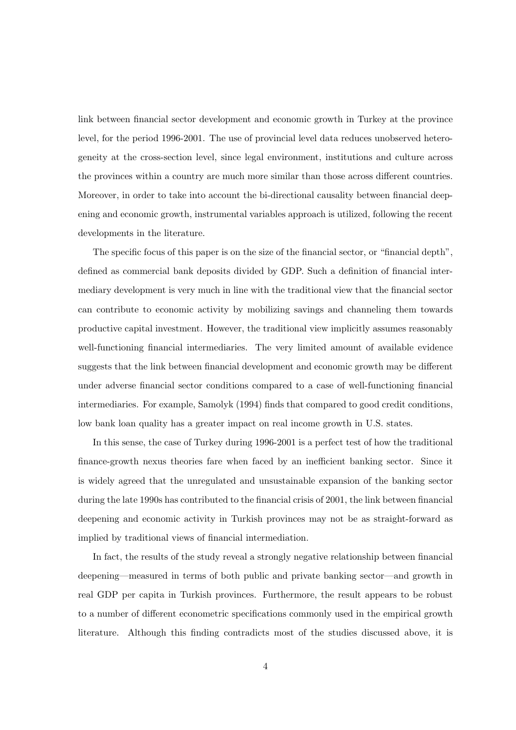link between financial sector development and economic growth in Turkey at the province level, for the period 1996-2001. The use of provincial level data reduces unobserved heterogeneity at the cross-section level, since legal environment, institutions and culture across the provinces within a country are much more similar than those across different countries. Moreover, in order to take into account the bi-directional causality between financial deepening and economic growth, instrumental variables approach is utilized, following the recent developments in the literature.

The specific focus of this paper is on the size of the financial sector, or "financial depth", defined as commercial bank deposits divided by GDP. Such a definition of financial intermediary development is very much in line with the traditional view that the financial sector can contribute to economic activity by mobilizing savings and channeling them towards productive capital investment. However, the traditional view implicitly assumes reasonably well-functioning financial intermediaries. The very limited amount of available evidence suggests that the link between financial development and economic growth may be different under adverse financial sector conditions compared to a case of well-functioning financial intermediaries. For example, Samolyk (1994) finds that compared to good credit conditions, low bank loan quality has a greater impact on real income growth in U.S. states.

In this sense, the case of Turkey during 1996-2001 is a perfect test of how the traditional finance-growth nexus theories fare when faced by an inefficient banking sector. Since it is widely agreed that the unregulated and unsustainable expansion of the banking sector during the late 1990s has contributed to the financial crisis of 2001, the link between financial deepening and economic activity in Turkish provinces may not be as straight-forward as implied by traditional views of financial intermediation.

In fact, the results of the study reveal a strongly negative relationship between financial deepening—measured in terms of both public and private banking sector—and growth in real GDP per capita in Turkish provinces. Furthermore, the result appears to be robust to a number of different econometric specifications commonly used in the empirical growth literature. Although this finding contradicts most of the studies discussed above, it is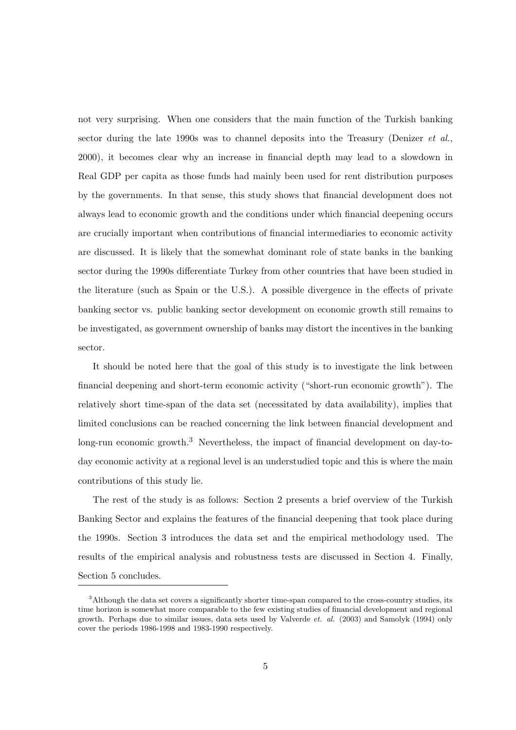not very surprising. When one considers that the main function of the Turkish banking sector during the late 1990s was to channel deposits into the Treasury (Denizer et al., 2000), it becomes clear why an increase in financial depth may lead to a slowdown in Real GDP per capita as those funds had mainly been used for rent distribution purposes by the governments. In that sense, this study shows that financial development does not always lead to economic growth and the conditions under which financial deepening occurs are crucially important when contributions of financial intermediaries to economic activity are discussed. It is likely that the somewhat dominant role of state banks in the banking sector during the 1990s differentiate Turkey from other countries that have been studied in the literature (such as Spain or the U.S.). A possible divergence in the effects of private banking sector vs. public banking sector development on economic growth still remains to be investigated, as government ownership of banks may distort the incentives in the banking sector.

It should be noted here that the goal of this study is to investigate the link between financial deepening and short-term economic activity ("short-run economic growth"). The relatively short time-span of the data set (necessitated by data availability), implies that limited conclusions can be reached concerning the link between financial development and long-run economic growth.<sup>3</sup> Nevertheless, the impact of financial development on day-today economic activity at a regional level is an understudied topic and this is where the main contributions of this study lie.

The rest of the study is as follows: Section 2 presents a brief overview of the Turkish Banking Sector and explains the features of the financial deepening that took place during the 1990s. Section 3 introduces the data set and the empirical methodology used. The results of the empirical analysis and robustness tests are discussed in Section 4. Finally, Section 5 concludes.

<sup>3</sup>Although the data set covers a significantly shorter time-span compared to the cross-country studies, its time horizon is somewhat more comparable to the few existing studies of financial development and regional growth. Perhaps due to similar issues, data sets used by Valverde et. al. (2003) and Samolyk (1994) only cover the periods 1986-1998 and 1983-1990 respectively.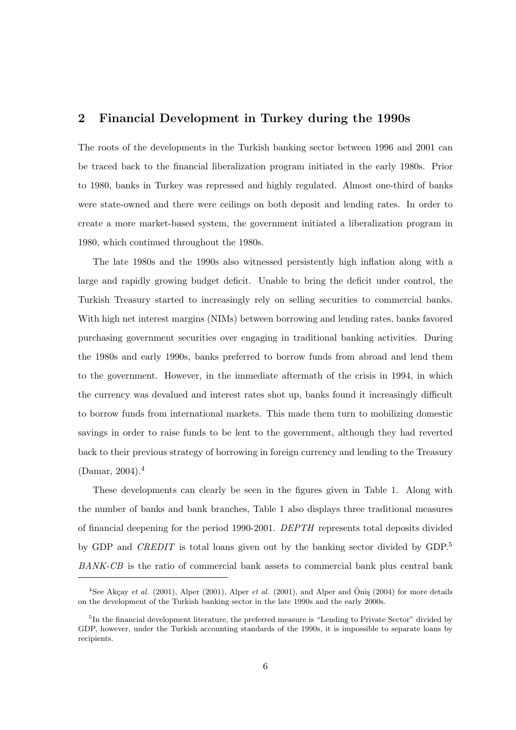## 2 Financial Development in Turkey during the 1990s

The roots of the developments in the Turkish banking sector between 1996 and 2001 can be traced back to the financial liberalization program initiated in the early 1980s. Prior to 1980, banks in Turkey was repressed and highly regulated. Almost one-third of banks were state-owned and there were ceilings on both deposit and lending rates. In order to create a more market-based system, the government initiated a liberalization program in 1980, which continued throughout the 1980s.

The late 1980s and the 1990s also witnessed persistently high inflation along with a large and rapidly growing budget deficit. Unable to bring the deficit under control, the Turkish Treasury started to increasingly rely on selling securities to commercial banks. With high net interest margins (NIMs) between borrowing and lending rates, banks favored purchasing government securities over engaging in traditional banking activities. During the 1980s and early 1990s, banks preferred to borrow funds from abroad and lend them to the government. However, in the immediate aftermath of the crisis in 1994, in which the currency was devalued and interest rates shot up, banks found it increasingly difficult to borrow funds from international markets. This made them turn to mobilizing domestic savings in order to raise funds to be lent to the government, although they had reverted back to their previous strategy of borrowing in foreign currency and lending to the Treasury  $(Damar, 2004).<sup>4</sup>$ 

These developments can clearly be seen in the figures given in Table 1. Along with the number of banks and bank branches, Table 1 also displays three traditional measures of financial deepening for the period 1990-2001. DEPTH represents total deposits divided by GDP and *CREDIT* is total loans given out by the banking sector divided by GDP.<sup>5</sup> BANK-CB is the ratio of commercial bank assets to commercial bank plus central bank

<sup>&</sup>lt;sup>4</sup>See Akçay *et al.* (2001), Alper (2001), Alper *et al.* (2001), and Alper and Öniş (2004) for more details on the development of the Turkish banking sector in the late 1990s and the early 2000s.

<sup>&</sup>lt;sup>5</sup>In the financial development literature, the preferred measure is "Lending to Private Sector" divided by GDP, however, under the Turkish accounting standards of the 1990s, it is impossible to separate loans by recipients.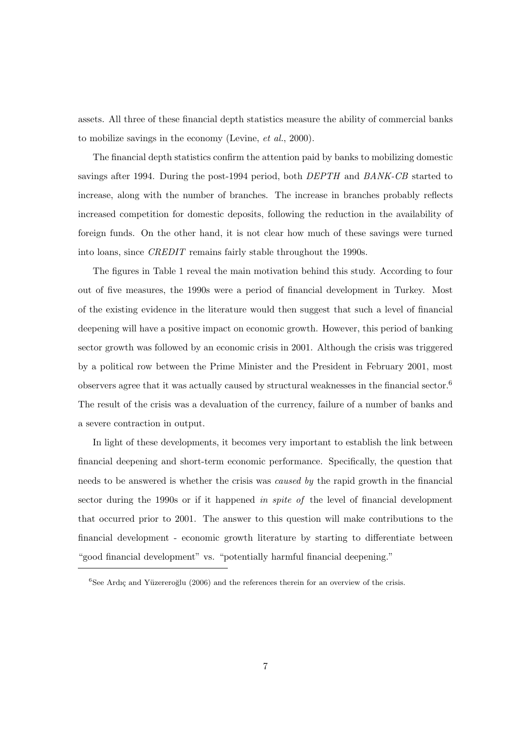assets. All three of these financial depth statistics measure the ability of commercial banks to mobilize savings in the economy (Levine, et al., 2000).

The financial depth statistics confirm the attention paid by banks to mobilizing domestic savings after 1994. During the post-1994 period, both *DEPTH* and *BANK-CB* started to increase, along with the number of branches. The increase in branches probably reflects increased competition for domestic deposits, following the reduction in the availability of foreign funds. On the other hand, it is not clear how much of these savings were turned into loans, since CREDIT remains fairly stable throughout the 1990s.

The figures in Table 1 reveal the main motivation behind this study. According to four out of five measures, the 1990s were a period of financial development in Turkey. Most of the existing evidence in the literature would then suggest that such a level of financial deepening will have a positive impact on economic growth. However, this period of banking sector growth was followed by an economic crisis in 2001. Although the crisis was triggered by a political row between the Prime Minister and the President in February 2001, most observers agree that it was actually caused by structural weaknesses in the financial sector.<sup>6</sup> The result of the crisis was a devaluation of the currency, failure of a number of banks and a severe contraction in output.

In light of these developments, it becomes very important to establish the link between financial deepening and short-term economic performance. Specifically, the question that needs to be answered is whether the crisis was caused by the rapid growth in the financial sector during the 1990s or if it happened in spite of the level of financial development that occurred prior to 2001. The answer to this question will make contributions to the financial development - economic growth literature by starting to differentiate between "good financial development" vs. "potentially harmful financial deepening."

 ${}^{6}$ See Ardıç and Yüzereroğlu (2006) and the references therein for an overview of the crisis.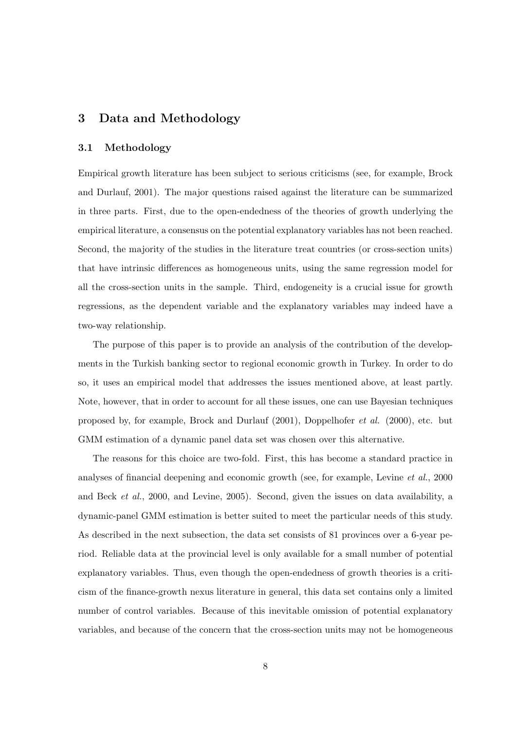## 3 Data and Methodology

#### 3.1 Methodology

Empirical growth literature has been subject to serious criticisms (see, for example, Brock and Durlauf, 2001). The major questions raised against the literature can be summarized in three parts. First, due to the open-endedness of the theories of growth underlying the empirical literature, a consensus on the potential explanatory variables has not been reached. Second, the majority of the studies in the literature treat countries (or cross-section units) that have intrinsic differences as homogeneous units, using the same regression model for all the cross-section units in the sample. Third, endogeneity is a crucial issue for growth regressions, as the dependent variable and the explanatory variables may indeed have a two-way relationship.

The purpose of this paper is to provide an analysis of the contribution of the developments in the Turkish banking sector to regional economic growth in Turkey. In order to do so, it uses an empirical model that addresses the issues mentioned above, at least partly. Note, however, that in order to account for all these issues, one can use Bayesian techniques proposed by, for example, Brock and Durlauf (2001), Doppelhofer et al. (2000), etc. but GMM estimation of a dynamic panel data set was chosen over this alternative.

The reasons for this choice are two-fold. First, this has become a standard practice in analyses of financial deepening and economic growth (see, for example, Levine et al., 2000 and Beck et al., 2000, and Levine, 2005). Second, given the issues on data availability, a dynamic-panel GMM estimation is better suited to meet the particular needs of this study. As described in the next subsection, the data set consists of 81 provinces over a 6-year period. Reliable data at the provincial level is only available for a small number of potential explanatory variables. Thus, even though the open-endedness of growth theories is a criticism of the finance-growth nexus literature in general, this data set contains only a limited number of control variables. Because of this inevitable omission of potential explanatory variables, and because of the concern that the cross-section units may not be homogeneous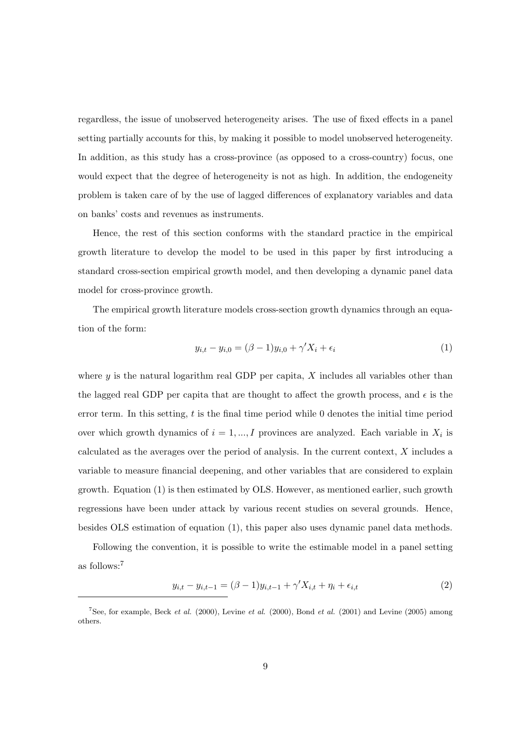regardless, the issue of unobserved heterogeneity arises. The use of fixed effects in a panel setting partially accounts for this, by making it possible to model unobserved heterogeneity. In addition, as this study has a cross-province (as opposed to a cross-country) focus, one would expect that the degree of heterogeneity is not as high. In addition, the endogeneity problem is taken care of by the use of lagged differences of explanatory variables and data on banks' costs and revenues as instruments.

Hence, the rest of this section conforms with the standard practice in the empirical growth literature to develop the model to be used in this paper by first introducing a standard cross-section empirical growth model, and then developing a dynamic panel data model for cross-province growth.

The empirical growth literature models cross-section growth dynamics through an equation of the form:

$$
y_{i,t} - y_{i,0} = (\beta - 1)y_{i,0} + \gamma' X_i + \epsilon_i
$$
\n(1)

where  $y$  is the natural logarithm real GDP per capita,  $X$  includes all variables other than the lagged real GDP per capita that are thought to affect the growth process, and  $\epsilon$  is the error term. In this setting,  $t$  is the final time period while  $0$  denotes the initial time period over which growth dynamics of  $i = 1, ..., I$  provinces are analyzed. Each variable in  $X_i$  is calculated as the averages over the period of analysis. In the current context, X includes a variable to measure financial deepening, and other variables that are considered to explain growth. Equation (1) is then estimated by OLS. However, as mentioned earlier, such growth regressions have been under attack by various recent studies on several grounds. Hence, besides OLS estimation of equation (1), this paper also uses dynamic panel data methods.

Following the convention, it is possible to write the estimable model in a panel setting as follows:<sup>7</sup>

$$
y_{i,t} - y_{i,t-1} = (\beta - 1)y_{i,t-1} + \gamma' X_{i,t} + \eta_i + \epsilon_{i,t}
$$
\n(2)

<sup>&</sup>lt;sup>7</sup>See, for example, Beck *et al.* (2000), Levine *et al.* (2000), Bond *et al.* (2001) and Levine (2005) among others.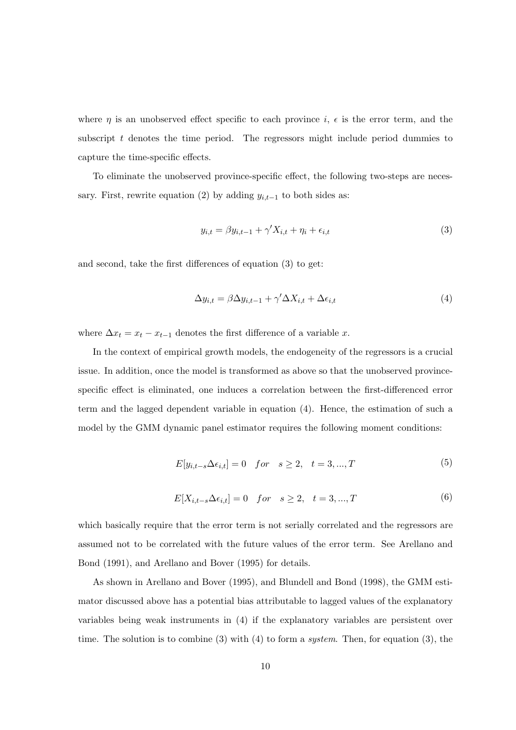where  $\eta$  is an unobserved effect specific to each province  $i, \epsilon$  is the error term, and the subscript  $t$  denotes the time period. The regressors might include period dummies to capture the time-specific effects.

To eliminate the unobserved province-specific effect, the following two-steps are necessary. First, rewrite equation (2) by adding  $y_{i,t-1}$  to both sides as:

$$
y_{i,t} = \beta y_{i,t-1} + \gamma' X_{i,t} + \eta_i + \epsilon_{i,t}
$$
\n
$$
\tag{3}
$$

and second, take the first differences of equation (3) to get:

$$
\Delta y_{i,t} = \beta \Delta y_{i,t-1} + \gamma' \Delta X_{i,t} + \Delta \epsilon_{i,t} \tag{4}
$$

where  $\Delta x_t = x_t - x_{t-1}$  denotes the first difference of a variable x.

In the context of empirical growth models, the endogeneity of the regressors is a crucial issue. In addition, once the model is transformed as above so that the unobserved provincespecific effect is eliminated, one induces a correlation between the first-differenced error term and the lagged dependent variable in equation (4). Hence, the estimation of such a model by the GMM dynamic panel estimator requires the following moment conditions:

$$
E[y_{i,t-s}\Delta\epsilon_{i,t}] = 0 \quad for \quad s \ge 2, \quad t = 3, ..., T \tag{5}
$$

$$
E[X_{i,t-s}\Delta\epsilon_{i,t}] = 0 \quad \text{for} \quad s \ge 2, \quad t = 3, ..., T \tag{6}
$$

which basically require that the error term is not serially correlated and the regressors are assumed not to be correlated with the future values of the error term. See Arellano and Bond (1991), and Arellano and Bover (1995) for details.

As shown in Arellano and Bover (1995), and Blundell and Bond (1998), the GMM estimator discussed above has a potential bias attributable to lagged values of the explanatory variables being weak instruments in (4) if the explanatory variables are persistent over time. The solution is to combine (3) with (4) to form a system. Then, for equation (3), the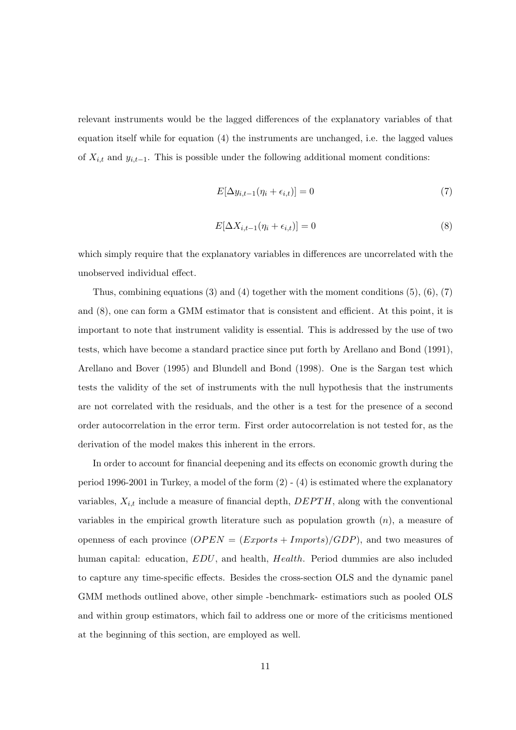relevant instruments would be the lagged differences of the explanatory variables of that equation itself while for equation (4) the instruments are unchanged, i.e. the lagged values of  $X_{i,t}$  and  $y_{i,t-1}$ . This is possible under the following additional moment conditions:

$$
E[\Delta y_{i,t-1}(\eta_i + \epsilon_{i,t})] = 0 \tag{7}
$$

$$
E[\Delta X_{i,t-1}(\eta_i + \epsilon_{i,t})] = 0 \tag{8}
$$

which simply require that the explanatory variables in differences are uncorrelated with the unobserved individual effect.

Thus, combining equations  $(3)$  and  $(4)$  together with the moment conditions  $(5)$ ,  $(6)$ ,  $(7)$ and (8), one can form a GMM estimator that is consistent and efficient. At this point, it is important to note that instrument validity is essential. This is addressed by the use of two tests, which have become a standard practice since put forth by Arellano and Bond (1991), Arellano and Bover (1995) and Blundell and Bond (1998). One is the Sargan test which tests the validity of the set of instruments with the null hypothesis that the instruments are not correlated with the residuals, and the other is a test for the presence of a second order autocorrelation in the error term. First order autocorrelation is not tested for, as the derivation of the model makes this inherent in the errors.

In order to account for financial deepening and its effects on economic growth during the period 1996-2001 in Turkey, a model of the form  $(2)$  -  $(4)$  is estimated where the explanatory variables,  $X_{i,t}$  include a measure of financial depth,  $DEPTH$ , along with the conventional variables in the empirical growth literature such as population growth  $(n)$ , a measure of openness of each province  $(OPEN = (Express + Imports)/GDP)$ , and two measures of human capital: education,  $EDU$ , and health, Health. Period dummies are also included to capture any time-specific effects. Besides the cross-section OLS and the dynamic panel GMM methods outlined above, other simple -benchmark- estimatiors such as pooled OLS and within group estimators, which fail to address one or more of the criticisms mentioned at the beginning of this section, are employed as well.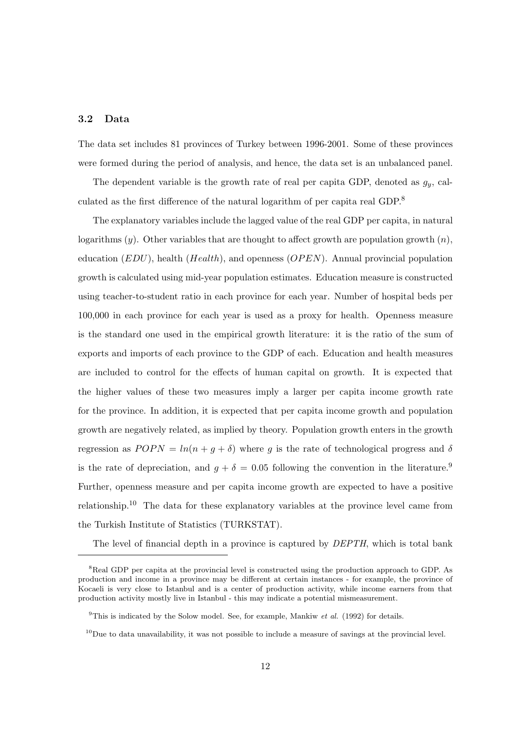### 3.2 Data

The data set includes 81 provinces of Turkey between 1996-2001. Some of these provinces were formed during the period of analysis, and hence, the data set is an unbalanced panel.

The dependent variable is the growth rate of real per capita GDP, denoted as  $g_y$ , calculated as the first difference of the natural logarithm of per capita real GDP.<sup>8</sup>

The explanatory variables include the lagged value of the real GDP per capita, in natural logarithms  $(y)$ . Other variables that are thought to affect growth are population growth  $(n)$ , education  $(EDU)$ , health  $(Health)$ , and openness  $(OPEN)$ . Annual provincial population growth is calculated using mid-year population estimates. Education measure is constructed using teacher-to-student ratio in each province for each year. Number of hospital beds per 100,000 in each province for each year is used as a proxy for health. Openness measure is the standard one used in the empirical growth literature: it is the ratio of the sum of exports and imports of each province to the GDP of each. Education and health measures are included to control for the effects of human capital on growth. It is expected that the higher values of these two measures imply a larger per capita income growth rate for the province. In addition, it is expected that per capita income growth and population growth are negatively related, as implied by theory. Population growth enters in the growth regression as  $POPN = ln(n + g + \delta)$  where g is the rate of technological progress and  $\delta$ is the rate of depreciation, and  $g + \delta = 0.05$  following the convention in the literature.<sup>9</sup> Further, openness measure and per capita income growth are expected to have a positive relationship.<sup>10</sup> The data for these explanatory variables at the province level came from the Turkish Institute of Statistics (TURKSTAT).

The level of financial depth in a province is captured by *DEPTH*, which is total bank

<sup>&</sup>lt;sup>8</sup>Real GDP per capita at the provincial level is constructed using the production approach to GDP. As production and income in a province may be different at certain instances - for example, the province of Kocaeli is very close to Istanbul and is a center of production activity, while income earners from that production activity mostly live in Istanbul - this may indicate a potential mismeasurement.

<sup>&</sup>lt;sup>9</sup>This is indicated by the Solow model. See, for example, Mankiw *et al.* (1992) for details.

 $10$ Due to data unavailability, it was not possible to include a measure of savings at the provincial level.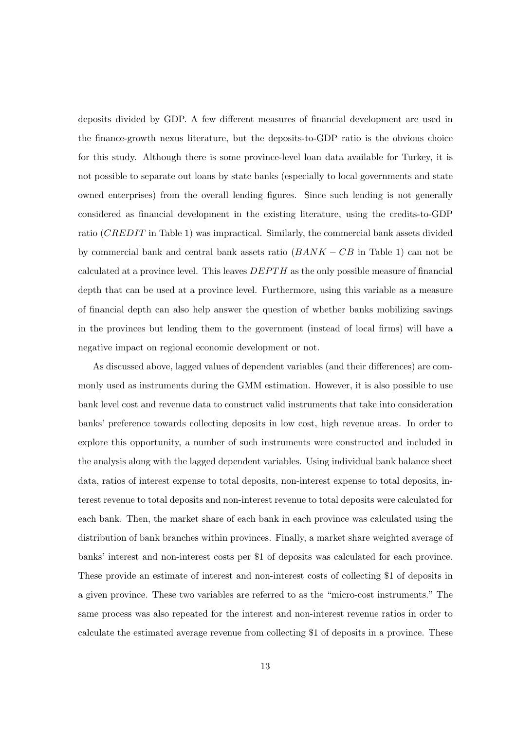deposits divided by GDP. A few different measures of financial development are used in the finance-growth nexus literature, but the deposits-to-GDP ratio is the obvious choice for this study. Although there is some province-level loan data available for Turkey, it is not possible to separate out loans by state banks (especially to local governments and state owned enterprises) from the overall lending figures. Since such lending is not generally considered as financial development in the existing literature, using the credits-to-GDP ratio (CREDIT in Table 1) was impractical. Similarly, the commercial bank assets divided by commercial bank and central bank assets ratio  $(BANK - CB$  in Table 1) can not be calculated at a province level. This leaves  $DEPTH$  as the only possible measure of financial depth that can be used at a province level. Furthermore, using this variable as a measure of financial depth can also help answer the question of whether banks mobilizing savings in the provinces but lending them to the government (instead of local firms) will have a negative impact on regional economic development or not.

As discussed above, lagged values of dependent variables (and their differences) are commonly used as instruments during the GMM estimation. However, it is also possible to use bank level cost and revenue data to construct valid instruments that take into consideration banks' preference towards collecting deposits in low cost, high revenue areas. In order to explore this opportunity, a number of such instruments were constructed and included in the analysis along with the lagged dependent variables. Using individual bank balance sheet data, ratios of interest expense to total deposits, non-interest expense to total deposits, interest revenue to total deposits and non-interest revenue to total deposits were calculated for each bank. Then, the market share of each bank in each province was calculated using the distribution of bank branches within provinces. Finally, a market share weighted average of banks' interest and non-interest costs per \$1 of deposits was calculated for each province. These provide an estimate of interest and non-interest costs of collecting \$1 of deposits in a given province. These two variables are referred to as the "micro-cost instruments." The same process was also repeated for the interest and non-interest revenue ratios in order to calculate the estimated average revenue from collecting \$1 of deposits in a province. These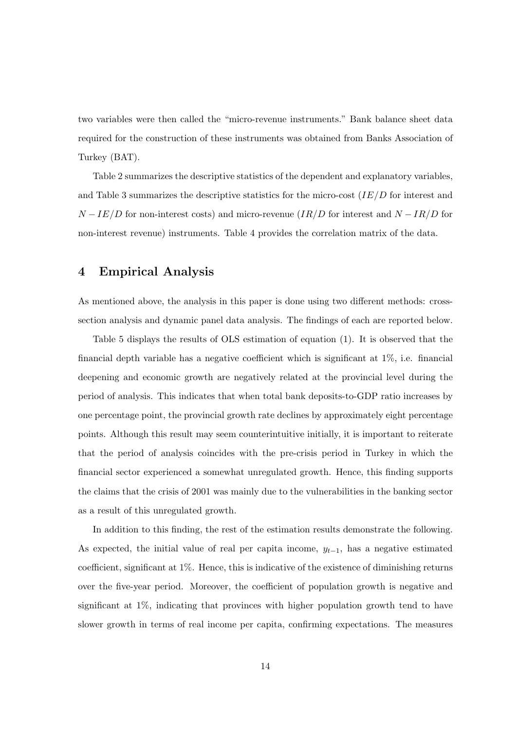two variables were then called the "micro-revenue instruments." Bank balance sheet data required for the construction of these instruments was obtained from Banks Association of Turkey (BAT).

Table 2 summarizes the descriptive statistics of the dependent and explanatory variables, and Table 3 summarizes the descriptive statistics for the micro-cost  $(IE/D)$  for interest and  $N - IE/D$  for non-interest costs) and micro-revenue ( $IR/D$  for interest and  $N - IR/D$  for non-interest revenue) instruments. Table 4 provides the correlation matrix of the data.

## 4 Empirical Analysis

As mentioned above, the analysis in this paper is done using two different methods: crosssection analysis and dynamic panel data analysis. The findings of each are reported below.

Table 5 displays the results of OLS estimation of equation (1). It is observed that the financial depth variable has a negative coefficient which is significant at 1%, i.e. financial deepening and economic growth are negatively related at the provincial level during the period of analysis. This indicates that when total bank deposits-to-GDP ratio increases by one percentage point, the provincial growth rate declines by approximately eight percentage points. Although this result may seem counterintuitive initially, it is important to reiterate that the period of analysis coincides with the pre-crisis period in Turkey in which the financial sector experienced a somewhat unregulated growth. Hence, this finding supports the claims that the crisis of 2001 was mainly due to the vulnerabilities in the banking sector as a result of this unregulated growth.

In addition to this finding, the rest of the estimation results demonstrate the following. As expected, the initial value of real per capita income,  $y_{t-1}$ , has a negative estimated coefficient, significant at 1%. Hence, this is indicative of the existence of diminishing returns over the five-year period. Moreover, the coefficient of population growth is negative and significant at 1%, indicating that provinces with higher population growth tend to have slower growth in terms of real income per capita, confirming expectations. The measures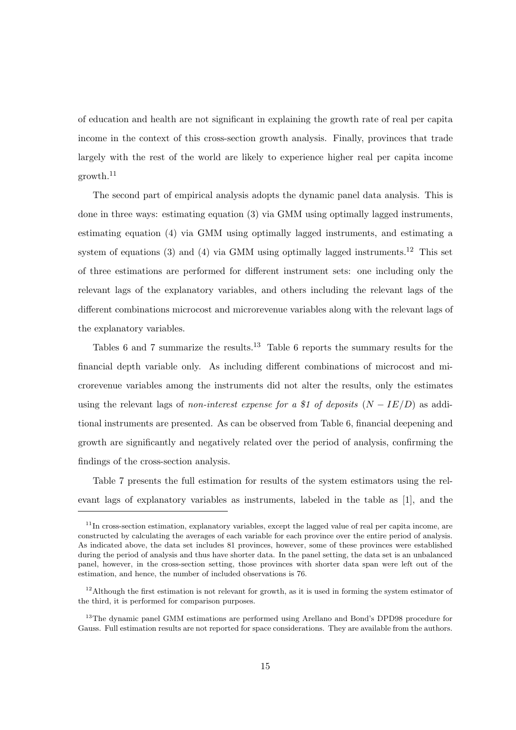of education and health are not significant in explaining the growth rate of real per capita income in the context of this cross-section growth analysis. Finally, provinces that trade largely with the rest of the world are likely to experience higher real per capita income growth.<sup>11</sup>

The second part of empirical analysis adopts the dynamic panel data analysis. This is done in three ways: estimating equation (3) via GMM using optimally lagged instruments, estimating equation (4) via GMM using optimally lagged instruments, and estimating a system of equations (3) and (4) via GMM using optimally lagged instruments.<sup>12</sup> This set of three estimations are performed for different instrument sets: one including only the relevant lags of the explanatory variables, and others including the relevant lags of the different combinations microcost and microrevenue variables along with the relevant lags of the explanatory variables.

Tables 6 and 7 summarize the results.<sup>13</sup> Table 6 reports the summary results for the financial depth variable only. As including different combinations of microcost and microrevenue variables among the instruments did not alter the results, only the estimates using the relevant lags of non-interest expense for a \$1 of deposits  $(N - IE/D)$  as additional instruments are presented. As can be observed from Table 6, financial deepening and growth are significantly and negatively related over the period of analysis, confirming the findings of the cross-section analysis.

Table 7 presents the full estimation for results of the system estimators using the relevant lags of explanatory variables as instruments, labeled in the table as [1], and the

 $11$ In cross-section estimation, explanatory variables, except the lagged value of real per capita income, are constructed by calculating the averages of each variable for each province over the entire period of analysis. As indicated above, the data set includes 81 provinces, however, some of these provinces were established during the period of analysis and thus have shorter data. In the panel setting, the data set is an unbalanced panel, however, in the cross-section setting, those provinces with shorter data span were left out of the estimation, and hence, the number of included observations is 76.

<sup>&</sup>lt;sup>12</sup>Although the first estimation is not relevant for growth, as it is used in forming the system estimator of the third, it is performed for comparison purposes.

<sup>&</sup>lt;sup>13</sup>The dynamic panel GMM estimations are performed using Arellano and Bond's DPD98 procedure for Gauss. Full estimation results are not reported for space considerations. They are available from the authors.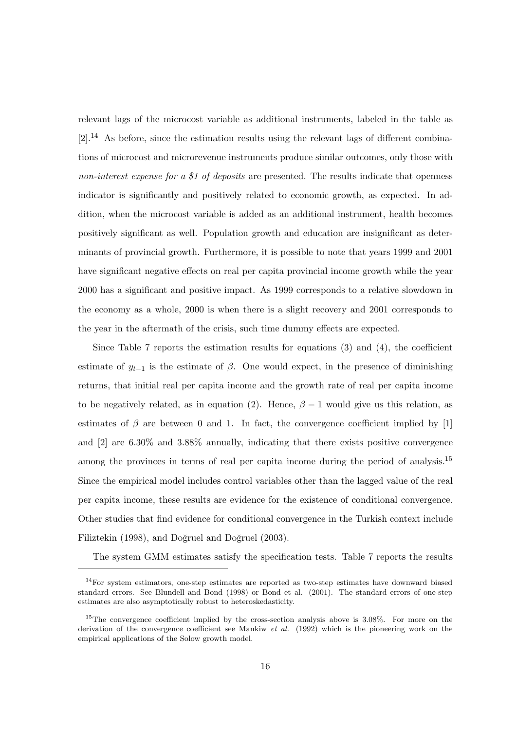relevant lags of the microcost variable as additional instruments, labeled in the table as [2].<sup>14</sup> As before, since the estimation results using the relevant lags of different combinations of microcost and microrevenue instruments produce similar outcomes, only those with non-interest expense for a \$1 of deposits are presented. The results indicate that openness indicator is significantly and positively related to economic growth, as expected. In addition, when the microcost variable is added as an additional instrument, health becomes positively significant as well. Population growth and education are insignificant as determinants of provincial growth. Furthermore, it is possible to note that years 1999 and 2001 have significant negative effects on real per capita provincial income growth while the year 2000 has a significant and positive impact. As 1999 corresponds to a relative slowdown in the economy as a whole, 2000 is when there is a slight recovery and 2001 corresponds to the year in the aftermath of the crisis, such time dummy effects are expected.

Since Table 7 reports the estimation results for equations  $(3)$  and  $(4)$ , the coefficient estimate of  $y_{t-1}$  is the estimate of  $\beta$ . One would expect, in the presence of diminishing returns, that initial real per capita income and the growth rate of real per capita income to be negatively related, as in equation (2). Hence,  $\beta - 1$  would give us this relation, as estimates of  $\beta$  are between 0 and 1. In fact, the convergence coefficient implied by [1] and [2] are 6.30% and 3.88% annually, indicating that there exists positive convergence among the provinces in terms of real per capita income during the period of analysis.<sup>15</sup> Since the empirical model includes control variables other than the lagged value of the real per capita income, these results are evidence for the existence of conditional convergence. Other studies that find evidence for conditional convergence in the Turkish context include Filiztekin (1998), and Doğruel and Doğruel (2003).

The system GMM estimates satisfy the specification tests. Table 7 reports the results

<sup>&</sup>lt;sup>14</sup>For system estimators, one-step estimates are reported as two-step estimates have downward biased standard errors. See Blundell and Bond (1998) or Bond et al. (2001). The standard errors of one-step estimates are also asymptotically robust to heteroskedasticity.

<sup>&</sup>lt;sup>15</sup>The convergence coefficient implied by the cross-section analysis above is 3.08%. For more on the derivation of the convergence coefficient see Mankiw *et al.* (1992) which is the pioneering work on the empirical applications of the Solow growth model.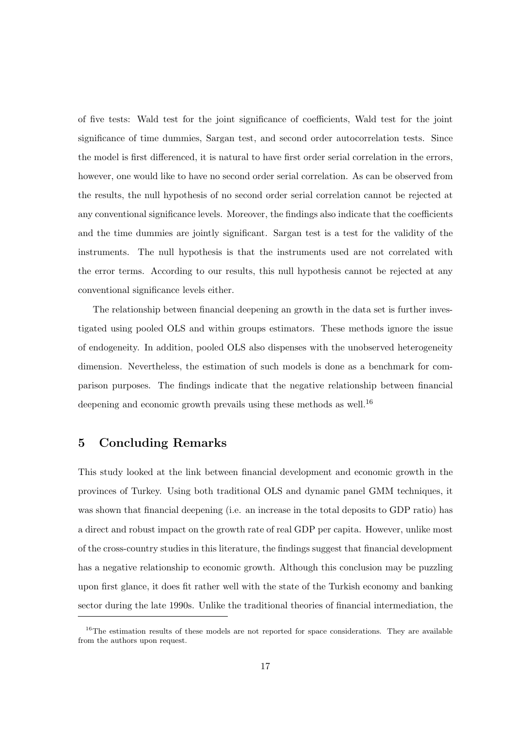of five tests: Wald test for the joint significance of coefficients, Wald test for the joint significance of time dummies, Sargan test, and second order autocorrelation tests. Since the model is first differenced, it is natural to have first order serial correlation in the errors, however, one would like to have no second order serial correlation. As can be observed from the results, the null hypothesis of no second order serial correlation cannot be rejected at any conventional significance levels. Moreover, the findings also indicate that the coefficients and the time dummies are jointly significant. Sargan test is a test for the validity of the instruments. The null hypothesis is that the instruments used are not correlated with the error terms. According to our results, this null hypothesis cannot be rejected at any conventional significance levels either.

The relationship between financial deepening an growth in the data set is further investigated using pooled OLS and within groups estimators. These methods ignore the issue of endogeneity. In addition, pooled OLS also dispenses with the unobserved heterogeneity dimension. Nevertheless, the estimation of such models is done as a benchmark for comparison purposes. The findings indicate that the negative relationship between financial deepening and economic growth prevails using these methods as well.<sup>16</sup>

## 5 Concluding Remarks

This study looked at the link between financial development and economic growth in the provinces of Turkey. Using both traditional OLS and dynamic panel GMM techniques, it was shown that financial deepening (i.e. an increase in the total deposits to GDP ratio) has a direct and robust impact on the growth rate of real GDP per capita. However, unlike most of the cross-country studies in this literature, the findings suggest that financial development has a negative relationship to economic growth. Although this conclusion may be puzzling upon first glance, it does fit rather well with the state of the Turkish economy and banking sector during the late 1990s. Unlike the traditional theories of financial intermediation, the

 $16$ The estimation results of these models are not reported for space considerations. They are available from the authors upon request.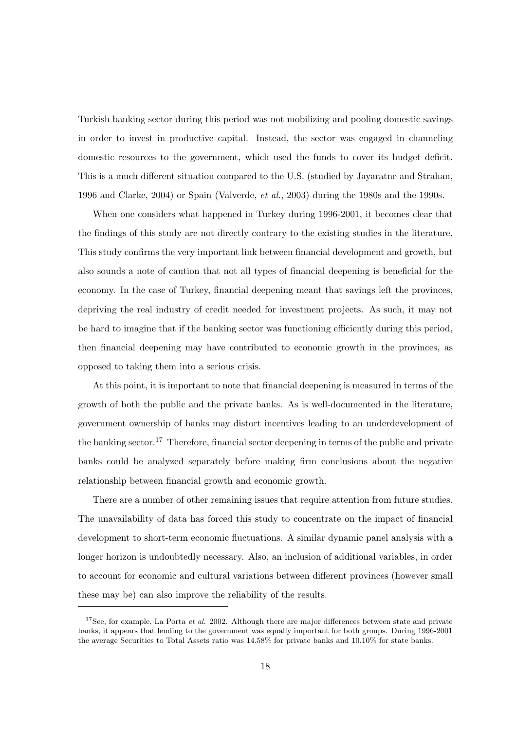Turkish banking sector during this period was not mobilizing and pooling domestic savings in order to invest in productive capital. Instead, the sector was engaged in channeling domestic resources to the government, which used the funds to cover its budget deficit. This is a much different situation compared to the U.S. (studied by Jayaratne and Strahan, 1996 and Clarke, 2004) or Spain (Valverde, et al., 2003) during the 1980s and the 1990s.

When one considers what happened in Turkey during 1996-2001, it becomes clear that the findings of this study are not directly contrary to the existing studies in the literature. This study confirms the very important link between financial development and growth, but also sounds a note of caution that not all types of financial deepening is beneficial for the economy. In the case of Turkey, financial deepening meant that savings left the provinces, depriving the real industry of credit needed for investment projects. As such, it may not be hard to imagine that if the banking sector was functioning efficiently during this period, then financial deepening may have contributed to economic growth in the provinces, as opposed to taking them into a serious crisis.

At this point, it is important to note that financial deepening is measured in terms of the growth of both the public and the private banks. As is well-documented in the literature, government ownership of banks may distort incentives leading to an underdevelopment of the banking sector.<sup>17</sup> Therefore, financial sector deepening in terms of the public and private banks could be analyzed separately before making firm conclusions about the negative relationship between financial growth and economic growth.

There are a number of other remaining issues that require attention from future studies. The unavailability of data has forced this study to concentrate on the impact of financial development to short-term economic fluctuations. A similar dynamic panel analysis with a longer horizon is undoubtedly necessary. Also, an inclusion of additional variables, in order to account for economic and cultural variations between different provinces (however small these may be) can also improve the reliability of the results.

<sup>&</sup>lt;sup>17</sup>See, for example, La Porta *et al.* 2002. Although there are major differences between state and private banks, it appears that lending to the government was equally important for both groups. During 1996-2001 the average Securities to Total Assets ratio was 14.58% for private banks and 10.10% for state banks.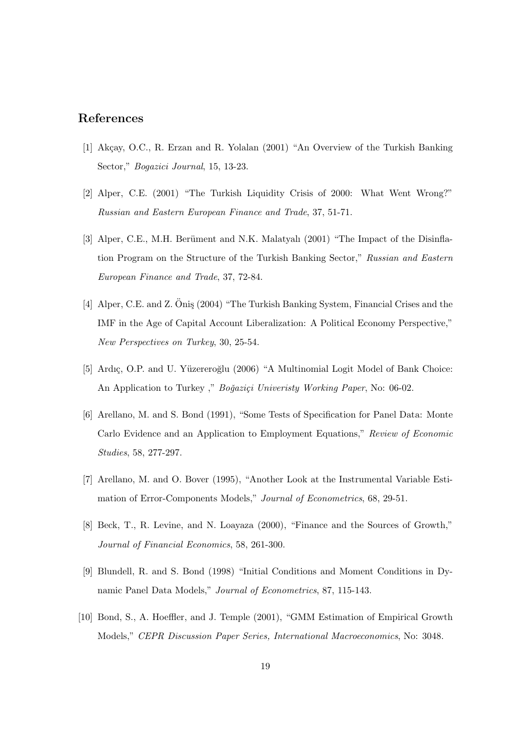## References

- [1] Akçay, O.C., R. Erzan and R. Yolalan (2001) "An Overview of the Turkish Banking Sector," Bogazici Journal, 15, 13-23.
- [2] Alper, C.E. (2001) "The Turkish Liquidity Crisis of 2000: What Went Wrong?" Russian and Eastern European Finance and Trade, 37, 51-71.
- [3] Alper, C.E., M.H. Berüment and N.K. Malatyalı (2001) "The Impact of the Disinflation Program on the Structure of the Turkish Banking Sector," Russian and Eastern European Finance and Trade, 37, 72-84.
- [4] Alper, C.E. and Z. Onis (2004) "The Turkish Banking System, Financial Crises and the IMF in the Age of Capital Account Liberalization: A Political Economy Perspective," New Perspectives on Turkey, 30, 25-54.
- [5] Ardıç, O.P. and U. Yüzereroğlu (2006) "A Multinomial Logit Model of Bank Choice: An Application to Turkey," Boğaziçi University Working Paper, No: 06-02.
- [6] Arellano, M. and S. Bond (1991), "Some Tests of Specification for Panel Data: Monte Carlo Evidence and an Application to Employment Equations," Review of Economic Studies, 58, 277-297.
- [7] Arellano, M. and O. Bover (1995), "Another Look at the Instrumental Variable Estimation of Error-Components Models," Journal of Econometrics, 68, 29-51.
- [8] Beck, T., R. Levine, and N. Loayaza (2000), "Finance and the Sources of Growth," Journal of Financial Economics, 58, 261-300.
- [9] Blundell, R. and S. Bond (1998) "Initial Conditions and Moment Conditions in Dynamic Panel Data Models," Journal of Econometrics, 87, 115-143.
- [10] Bond, S., A. Hoeffler, and J. Temple (2001), "GMM Estimation of Empirical Growth Models," CEPR Discussion Paper Series, International Macroeconomics, No: 3048.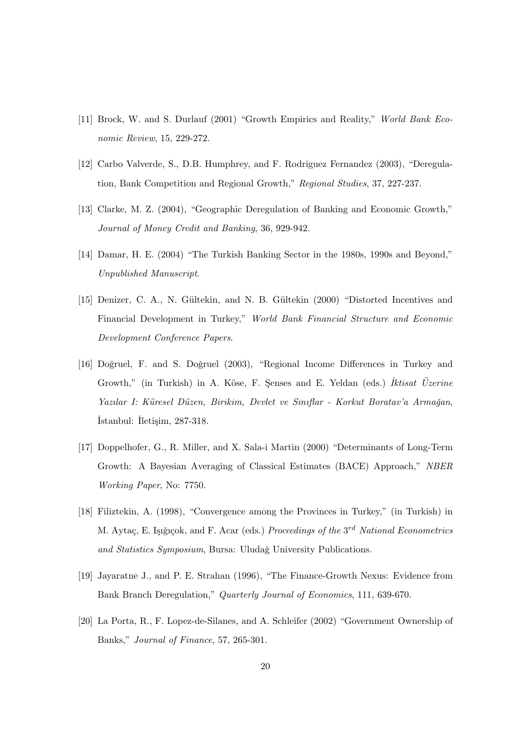- [11] Brock, W. and S. Durlauf (2001) "Growth Empirics and Reality," World Bank Economic Review, 15, 229-272.
- [12] Carbo Valverde, S., D.B. Humphrey, and F. Rodriguez Fernandez (2003), "Deregulation, Bank Competition and Regional Growth," Regional Studies, 37, 227-237.
- [13] Clarke, M. Z. (2004), "Geographic Deregulation of Banking and Economic Growth," Journal of Money Credit and Banking, 36, 929-942.
- [14] Damar, H. E. (2004) "The Turkish Banking Sector in the 1980s, 1990s and Beyond," Unpublished Manuscript.
- [15] Denizer, C. A., N. G¨ultekin, and N. B. G¨ultekin (2000) "Distorted Incentives and Financial Development in Turkey," World Bank Financial Structure and Economic Development Conference Papers.
- [16] Doğruel, F. and S. Doğruel (2003), "Regional Income Differences in Turkey and Growth," (in Turkish) in A. Köse, F. Senses and E. Yeldan (eds.)  $\textit{It}$  Uzerine Yazılar I: Küresel Düzen, Birikim, Devlet ve Sınıflar - Korkut Boratav'a Armağan, ˙Istanbul: ˙Ileti¸sim, 287-318.
- [17] Doppelhofer, G., R. Miller, and X. Sala-i Martin (2000) "Determinants of Long-Term Growth: A Bayesian Averaging of Classical Estimates (BACE) Approach," NBER Working Paper, No: 7750.
- [18] Filiztekin, A. (1998), "Convergence among the Provinces in Turkey," (in Turkish) in M. Aytaç, E. Işığıçok, and F. Acar (eds.) Proceedings of the 3<sup>rd</sup> National Econometrics and Statistics Symposium, Bursa: Uludağ University Publications.
- [19] Jayaratne J., and P. E. Strahan (1996), "The Finance-Growth Nexus: Evidence from Bank Branch Deregulation," Quarterly Journal of Economics, 111, 639-670.
- [20] La Porta, R., F. Lopez-de-Silanes, and A. Schleifer (2002) "Government Ownership of Banks," Journal of Finance, 57, 265-301.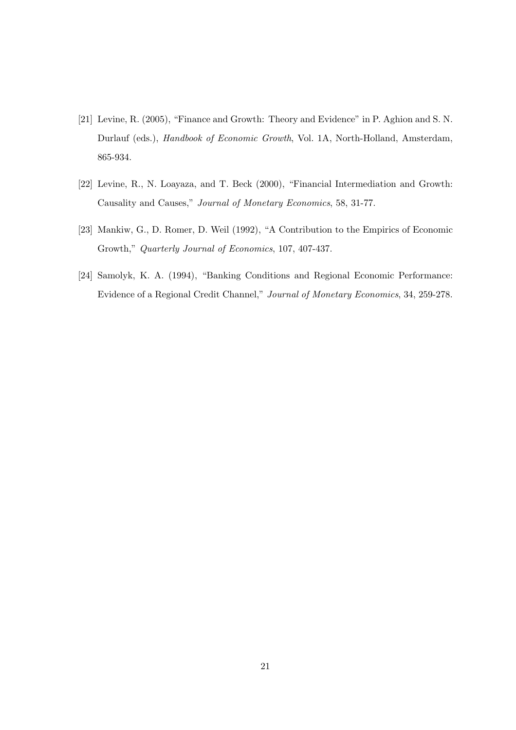- [21] Levine, R. (2005), "Finance and Growth: Theory and Evidence" in P. Aghion and S. N. Durlauf (eds.), Handbook of Economic Growth, Vol. 1A, North-Holland, Amsterdam, 865-934.
- [22] Levine, R., N. Loayaza, and T. Beck (2000), "Financial Intermediation and Growth: Causality and Causes," Journal of Monetary Economics, 58, 31-77.
- [23] Mankiw, G., D. Romer, D. Weil (1992), "A Contribution to the Empirics of Economic Growth," Quarterly Journal of Economics, 107, 407-437.
- [24] Samolyk, K. A. (1994), "Banking Conditions and Regional Economic Performance: Evidence of a Regional Credit Channel," Journal of Monetary Economics, 34, 259-278.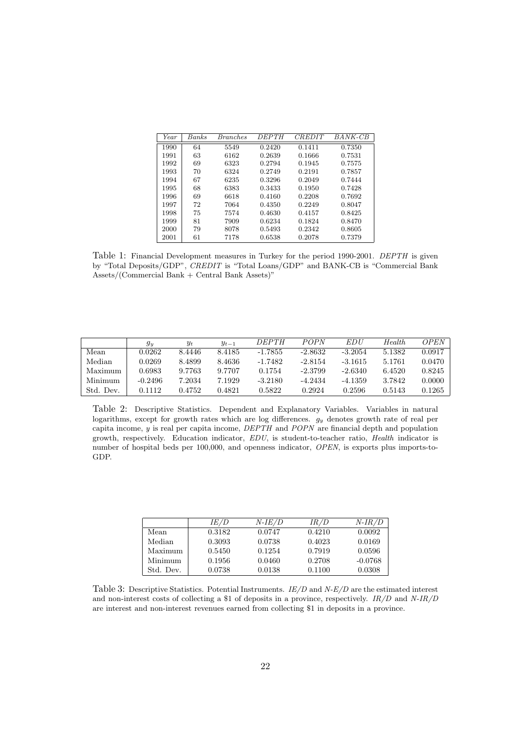| Year | Banks | <i>Branches</i> | <i>DEPTH</i> | <i><b>CREDIT</b></i> | BANK-CB |
|------|-------|-----------------|--------------|----------------------|---------|
| 1990 | 64    | 5549            | 0.2420       | 0.1411               | 0.7350  |
| 1991 | 63    | 6162            | 0.2639       | 0.1666               | 0.7531  |
| 1992 | 69    | 6323            | 0.2794       | 0.1945               | 0.7575  |
| 1993 | 70    | 6324            | 0.2749       | 0.2191               | 0.7857  |
| 1994 | 67    | 6235            | 0.3296       | 0.2049               | 0.7444  |
| 1995 | 68    | 6383            | 0.3433       | 0.1950               | 0.7428  |
| 1996 | 69    | 6618            | 0.4160       | 0.2208               | 0.7692  |
| 1997 | 72    | 7064            | 0.4350       | 0.2249               | 0.8047  |
| 1998 | 75    | 7574            | 0.4630       | 0.4157               | 0.8425  |
| 1999 | 81    | 7909            | 0.6234       | 0.1824               | 0.8470  |
| 2000 | 79    | 8078            | 0.5493       | 0.2342               | 0.8605  |
| 2001 | 61    | 7178            | 0.6538       | 0.2078               | 0.7379  |

Table 1: Financial Development measures in Turkey for the period 1990-2001. DEPTH is given by "Total Deposits/GDP", CREDIT is "Total Loans/GDP" and BANK-CB is "Commercial Bank  $Assets/(Comment$  Bank + Central Bank Assets)"

|           | $g_y$     | $y_t$  | $y_{t-1}$ | <i>DEPTH</i> | POPN      | EDU       | Health. | OPEN   |
|-----------|-----------|--------|-----------|--------------|-----------|-----------|---------|--------|
| Mean      | 0.0262    | 8.4446 | 8.4185    | $-1.7855$    | $-2.8632$ | $-3.2054$ | 5.1382  | 0.0917 |
| Median    | 0.0269    | 8.4899 | 8.4636    | $-1.7482$    | $-2.8154$ | $-3.1615$ | 5.1761  | 0.0470 |
| Maximum   | 0.6983    | 9.7763 | 9.7707    | 0.1754       | $-2.3799$ | $-2.6340$ | 6.4520  | 0.8245 |
| Minimum   | $-0.2496$ | 7.2034 | 7.1929    | $-3.2180$    | -4.2434   | -4.1359   | 3.7842  | 0.0000 |
| Std. Dev. | 0.1112    | 0.4752 | 0.4821    | 0.5822       | 0.2924    | 0.2596    | 0.5143  | 0.1265 |

Table 2: Descriptive Statistics. Dependent and Explanatory Variables. Variables in natural logarithms, except for growth rates which are log differences.  $g_y$  denotes growth rate of real per capita income, y is real per capita income, DEPTH and POPN are financial depth and population growth, respectively. Education indicator, EDU, is student-to-teacher ratio, Health indicator is number of hospital beds per 100,000, and openness indicator, *OPEN*, is exports plus imports-to-GDP.

|           | IE/D   | <i>N-IE/D</i> | IR/D   | $N$ -IR/D |
|-----------|--------|---------------|--------|-----------|
| Mean      | 0.3182 | 0.0747        | 0.4210 | 0.0092    |
| Median    | 0.3093 | 0.0738        | 0.4023 | 0.0169    |
| Maximum   | 0.5450 | 0.1254        | 0.7919 | 0.0596    |
| Minimum   | 0.1956 | 0.0460        | 0.2708 | $-0.0768$ |
| Std. Dev. | 0.0738 | 0.0138        | 0.1100 | 0.0308    |

Table 3: Descriptive Statistics. Potential Instruments.  $IE/D$  and  $N-E/D$  are the estimated interest and non-interest costs of collecting a \$1 of deposits in a province, respectively. IR/D and N-IR/D are interest and non-interest revenues earned from collecting \$1 in deposits in a province.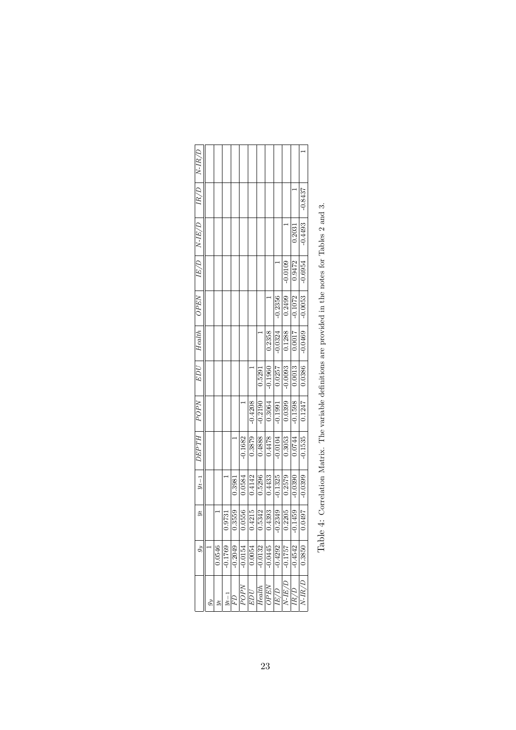|                                                                                     |                      | 0.3981    |
|-------------------------------------------------------------------------------------|----------------------|-----------|
|                                                                                     | $-0.1682$            | 0.0584    |
| $-0.4208$                                                                           | 0.3879               | 0.4142    |
| 0.5291<br>$-0.2190$                                                                 | 0.4888               | 0.5296    |
| $-0.1960$<br>$\begin{array}{ c c }\n\hline\n0.3064 \\ \hline\n-0.1991\n\end{array}$ | $\frac{6100}{82770}$ | 0.4433    |
| 0.0257                                                                              |                      | $-0.1325$ |
| $-0.0093$<br>$\frac{0.0399}{0.0399}$                                                | 0.3053               | 0.2579    |
| $\frac{0.0013}{2}$<br>$-0.1598$                                                     | $\frac{0.0744}{5}$   | $-0.0390$ |
| 0.0386<br>0.1247                                                                    | $-0.1535$            | $-0.0399$ |

| ֚֚֚֚֚֚֓֓֓ <b>֓</b>   |
|----------------------|
| l                    |
| $\ddot{\phantom{a}}$ |
| j                    |
|                      |
| ;                    |
|                      |
|                      |
|                      |
| そくら くらせ りょ てくていこくさく  |
|                      |
|                      |
|                      |
|                      |
| s<br>S               |
| j                    |
|                      |
|                      |
|                      |
| י<br>ו               |
| i<br>Sinasa          |
|                      |
|                      |
|                      |
| )<br> <br> <br> <br> |
|                      |
|                      |
| ĺ                    |
|                      |
|                      |
| $\frac{1}{2}$        |
|                      |
|                      |
| $\frac{1}{2}$        |
|                      |
|                      |
|                      |
|                      |
| Ì                    |
|                      |
| j<br>į               |
| ֞                    |
|                      |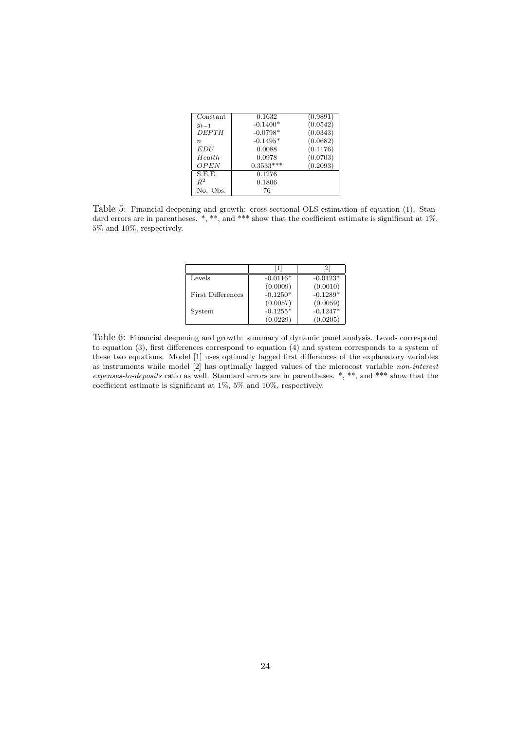| Constant           | 0.1632      | (0.9891) |
|--------------------|-------------|----------|
| $y_{t-1}$          | $-0.1400*$  | (0.0542) |
| <i>DEPTH</i>       | $-0.0798*$  | (0.0343) |
| $\boldsymbol{n}$   | $-0.1495*$  | (0.0682) |
| <i>EDU</i>         | 0.0088      | (0.1176) |
| H <sub>ealth</sub> | 0.0978      | (0.0703) |
| OPEN               | $0.3533***$ | (0.2093) |
| S.E.E.             | 0.1276      |          |
| $\bar{R}^2$        | 0.1806      |          |
| No. Obs.           | 76          |          |

Table 5: Financial deepening and growth: cross-sectional OLS estimation of equation (1). Standard errors are in parentheses. \*, \*\*, and \*\*\* show that the coefficient estimate is significant at 1%, 5% and 10%, respectively.

|                          | 1          | 2          |
|--------------------------|------------|------------|
| Levels                   | $-0.0116*$ | $-0.0123*$ |
|                          | (0.0009)   | (0.0010)   |
| <b>First Differences</b> | $-0.1250*$ | $-0.1289*$ |
|                          | (0.0057)   | (0.0059)   |
| System                   | $-0.1255*$ | $-0.1247*$ |
|                          | (0.0229)   | (0.0205)   |

Table 6: Financial deepening and growth: summary of dynamic panel analysis. Levels correspond to equation (3), first differences correspond to equation (4) and system corresponds to a system of these two equations. Model [1] uses optimally lagged first differences of the explanatory variables as instruments while model [2] has optimally lagged values of the microcost variable non-interest expenses-to-deposits ratio as well. Standard errors are in parentheses. \*, \*\*, and \*\*\* show that the coefficient estimate is significant at 1%, 5% and 10%, respectively.